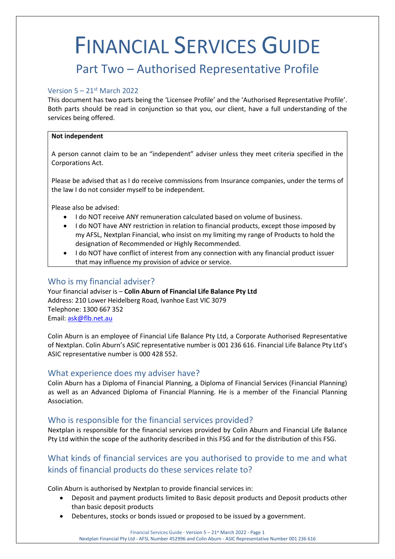# FINANCIAL SERVICES GUIDE

# Part Two – Authorised Representative Profile

## Version  $5 - 21$ <sup>st</sup> March 2022

This document has two parts being the 'Licensee Profile' and the 'Authorised Representative Profile'. Both parts should be read in conjunction so that you, our client, have a full understanding of the services being offered.

#### **Not independent**

A person cannot claim to be an "independent" adviser unless they meet criteria specified in the Corporations Act.

Please be advised that as I do receive commissions from Insurance companies, under the terms of the law I do not consider myself to be independent.

Please also be advised:

- I do NOT receive ANY remuneration calculated based on volume of business.
- I do NOT have ANY restriction in relation to financial products, except those imposed by my AFSL, Nextplan Financial, who insist on my limiting my range of Products to hold the designation of Recommended or Highly Recommended.
- I do NOT have conflict of interest from any connection with any financial product issuer that may influence my provision of advice or service.

# Who is my financial adviser?

Your financial adviser is – **Colin Aburn of Financial Life Balance Pty Ltd**  Address: 210 Lower Heidelberg Road, Ivanhoe East VIC 3079 Telephone: 1300 667 352 Email: [ask@flb.net.au](mailto:ask@flb.net.au)

Colin Aburn is an employee of Financial Life Balance Pty Ltd, a Corporate Authorised Representative of Nextplan. Colin Aburn's ASIC representative number is 001 236 616. Financial Life Balance Pty Ltd's ASIC representative number is 000 428 552.

#### What experience does my adviser have?

Colin Aburn has a Diploma of Financial Planning, a Diploma of Financial Services (Financial Planning) as well as an Advanced Diploma of Financial Planning. He is a member of the Financial Planning Association.

# Who is responsible for the financial services provided?

Nextplan is responsible for the financial services provided by Colin Aburn and Financial Life Balance Pty Ltd within the scope of the authority described in this FSG and for the distribution of this FSG.

# What kinds of financial services are you authorised to provide to me and what kinds of financial products do these services relate to?

Colin Aburn is authorised by Nextplan to provide financial services in:

- Deposit and payment products limited to Basic deposit products and Deposit products other than basic deposit products
- Debentures, stocks or bonds issued or proposed to be issued by a government.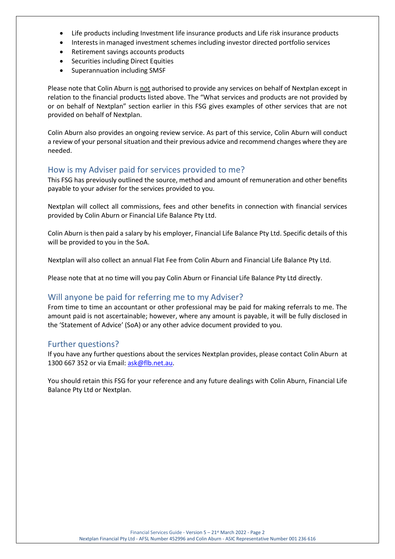- Life products including Investment life insurance products and Life risk insurance products
- Interests in managed investment schemes including investor directed portfolio services
- Retirement savings accounts products
- Securities including Direct Equities
- Superannuation including SMSF

Please note that Colin Aburn is not authorised to provide any services on behalf of Nextplan except in relation to the financial products listed above. The "What services and products are not provided by or on behalf of Nextplan" section earlier in this FSG gives examples of other services that are not provided on behalf of Nextplan.

Colin Aburn also provides an ongoing review service. As part of this service, Colin Aburn will conduct a review of your personal situation and their previous advice and recommend changes where they are needed.

## How is my Adviser paid for services provided to me?

This FSG has previously outlined the source, method and amount of remuneration and other benefits payable to your adviser for the services provided to you.

Nextplan will collect all commissions, fees and other benefits in connection with financial services provided by Colin Aburn or Financial Life Balance Pty Ltd.

Colin Aburn is then paid a salary by his employer, Financial Life Balance Pty Ltd. Specific details of this will be provided to you in the SoA.

Nextplan will also collect an annual Flat Fee from Colin Aburn and Financial Life Balance Pty Ltd.

Please note that at no time will you pay Colin Aburn or Financial Life Balance Pty Ltd directly.

# Will anyone be paid for referring me to my Adviser?

From time to time an accountant or other professional may be paid for making referrals to me. The amount paid is not ascertainable; however, where any amount is payable, it will be fully disclosed in the 'Statement of Advice' (SoA) or any other advice document provided to you.

# Further questions?

If you have any further questions about the services Nextplan provides, please contact Colin Aburn at 1300 667 352 or via Email[: ask@flb.net.au.](mailto:ask@flb.net.au)

You should retain this FSG for your reference and any future dealings with Colin Aburn, Financial Life Balance Pty Ltd or Nextplan.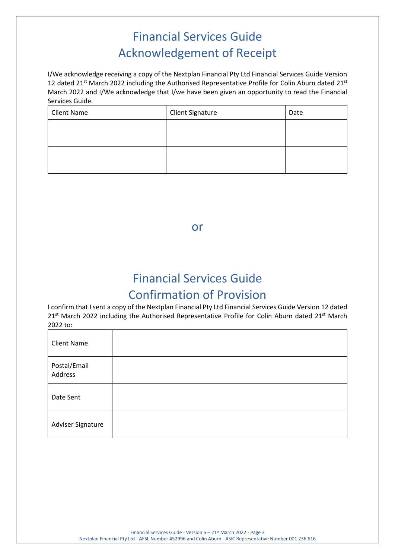# Financial Services Guide Acknowledgement of Receipt

I/We acknowledge receiving a copy of the Nextplan Financial Pty Ltd Financial Services Guide Version 12 dated 21<sup>st</sup> March 2022 including the Authorised Representative Profile for Colin Aburn dated 21<sup>st</sup> March 2022 and I/We acknowledge that I/we have been given an opportunity to read the Financial Services Guide.

| <b>Client Name</b> | <b>Client Signature</b> | Date |
|--------------------|-------------------------|------|
|                    |                         |      |
|                    |                         |      |
|                    |                         |      |
|                    |                         |      |

or

# Financial Services Guide Confirmation of Provision

I confirm that I sent a copy of the Nextplan Financial Pty Ltd Financial Services Guide Version 12 dated 21<sup>st</sup> March 2022 including the Authorised Representative Profile for Colin Aburn dated 21<sup>st</sup> March 2022 to:

| <b>Client Name</b>      |  |
|-------------------------|--|
| Postal/Email<br>Address |  |
| Date Sent               |  |
| Adviser Signature       |  |